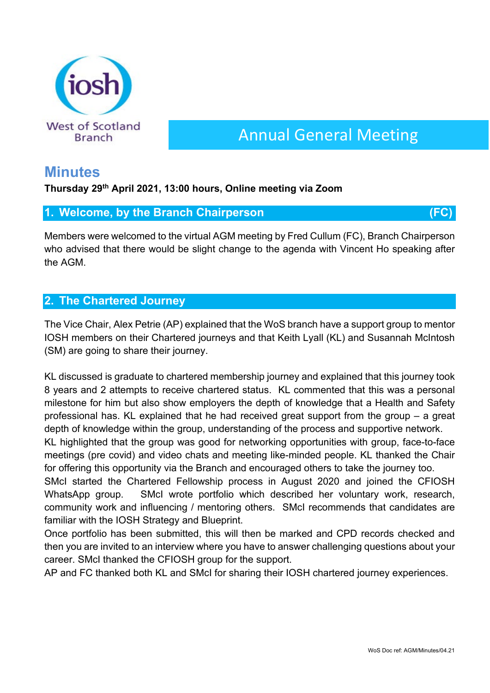

# Annual General Meeting

# **Minutes**

## **Thursday 29th April 2021, 13:00 hours, Online meeting via Zoom**

## **1. Welcome, by the Branch Chairperson (FC)**

Members were welcomed to the virtual AGM meeting by Fred Cullum (FC), Branch Chairperson who advised that there would be slight change to the agenda with Vincent Ho speaking after the AGM.

## **2. The Chartered Journey**

The Vice Chair, Alex Petrie (AP) explained that the WoS branch have a support group to mentor IOSH members on their Chartered journeys and that Keith Lyall (KL) and Susannah McIntosh (SM) are going to share their journey.

KL discussed is graduate to chartered membership journey and explained that this journey took 8 years and 2 attempts to receive chartered status. KL commented that this was a personal milestone for him but also show employers the depth of knowledge that a Health and Safety professional has. KL explained that he had received great support from the group – a great depth of knowledge within the group, understanding of the process and supportive network.

KL highlighted that the group was good for networking opportunities with group, face-to-face meetings (pre covid) and video chats and meeting like-minded people. KL thanked the Chair for offering this opportunity via the Branch and encouraged others to take the journey too.

SMcI started the Chartered Fellowship process in August 2020 and joined the CFIOSH WhatsApp group. SMcI wrote portfolio which described her voluntary work, research, community work and influencing / mentoring others. SMcI recommends that candidates are familiar with the IOSH Strategy and Blueprint.

Once portfolio has been submitted, this will then be marked and CPD records checked and then you are invited to an interview where you have to answer challenging questions about your career. SMcI thanked the CFIOSH group for the support.

AP and FC thanked both KL and SMcI for sharing their IOSH chartered journey experiences.

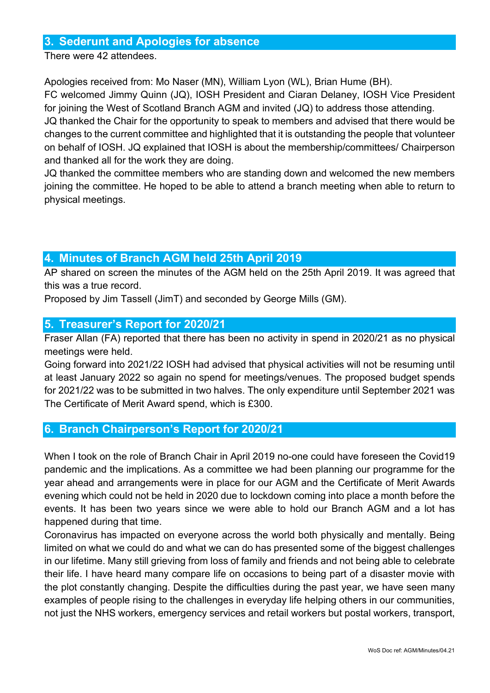## **3. Sederunt and Apologies for absence**

There were 42 attendees.

Apologies received from: Mo Naser (MN), William Lyon (WL), Brian Hume (BH).

FC welcomed Jimmy Quinn (JQ), IOSH President and Ciaran Delaney, IOSH Vice President for joining the West of Scotland Branch AGM and invited (JQ) to address those attending. JQ thanked the Chair for the opportunity to speak to members and advised that there would be changes to the current committee and highlighted that it is outstanding the people that volunteer on behalf of IOSH. JQ explained that IOSH is about the membership/committees/ Chairperson and thanked all for the work they are doing.

JQ thanked the committee members who are standing down and welcomed the new members joining the committee. He hoped to be able to attend a branch meeting when able to return to physical meetings.

## **4. Minutes of Branch AGM held 25th April 2019**

AP shared on screen the minutes of the AGM held on the 25th April 2019. It was agreed that this was a true record.

Proposed by Jim Tassell (JimT) and seconded by George Mills (GM).

## **5. Treasurer's Report for 2020/21**

Fraser Allan (FA) reported that there has been no activity in spend in 2020/21 as no physical meetings were held.

Going forward into 2021/22 IOSH had advised that physical activities will not be resuming until at least January 2022 so again no spend for meetings/venues. The proposed budget spends for 2021/22 was to be submitted in two halves. The only expenditure until September 2021 was The Certificate of Merit Award spend, which is £300.

## **6. Branch Chairperson's Report for 2020/21**

When I took on the role of Branch Chair in April 2019 no-one could have foreseen the Covid19 pandemic and the implications. As a committee we had been planning our programme for the year ahead and arrangements were in place for our AGM and the Certificate of Merit Awards evening which could not be held in 2020 due to lockdown coming into place a month before the events. It has been two years since we were able to hold our Branch AGM and a lot has happened during that time.

Coronavirus has impacted on everyone across the world both physically and mentally. Being limited on what we could do and what we can do has presented some of the biggest challenges in our lifetime. Many still grieving from loss of family and friends and not being able to celebrate their life. I have heard many compare life on occasions to being part of a disaster movie with the plot constantly changing. Despite the difficulties during the past year, we have seen many examples of people rising to the challenges in everyday life helping others in our communities, not just the NHS workers, emergency services and retail workers but postal workers, transport,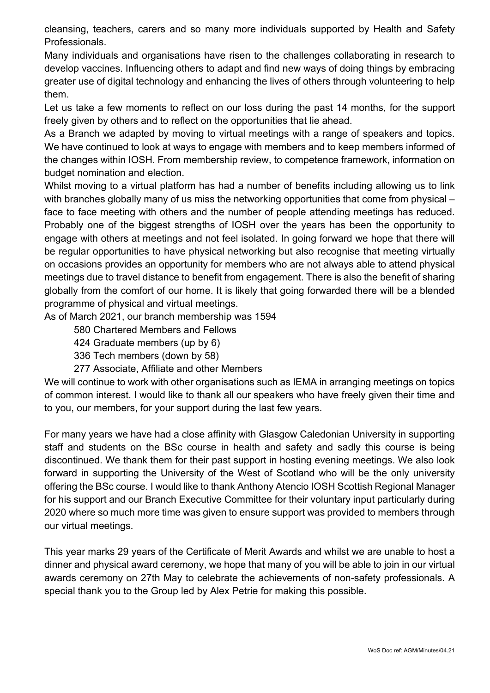cleansing, teachers, carers and so many more individuals supported by Health and Safety Professionals.

Many individuals and organisations have risen to the challenges collaborating in research to develop vaccines. Influencing others to adapt and find new ways of doing things by embracing greater use of digital technology and enhancing the lives of others through volunteering to help them.

Let us take a few moments to reflect on our loss during the past 14 months, for the support freely given by others and to reflect on the opportunities that lie ahead.

As a Branch we adapted by moving to virtual meetings with a range of speakers and topics. We have continued to look at ways to engage with members and to keep members informed of the changes within IOSH. From membership review, to competence framework, information on budget nomination and election.

Whilst moving to a virtual platform has had a number of benefits including allowing us to link with branches globally many of us miss the networking opportunities that come from physical – face to face meeting with others and the number of people attending meetings has reduced. Probably one of the biggest strengths of IOSH over the years has been the opportunity to engage with others at meetings and not feel isolated. In going forward we hope that there will be regular opportunities to have physical networking but also recognise that meeting virtually on occasions provides an opportunity for members who are not always able to attend physical meetings due to travel distance to benefit from engagement. There is also the benefit of sharing globally from the comfort of our home. It is likely that going forwarded there will be a blended programme of physical and virtual meetings.

As of March 2021, our branch membership was 1594

580 Chartered Members and Fellows

424 Graduate members (up by 6)

336 Tech members (down by 58)

277 Associate, Affiliate and other Members

We will continue to work with other organisations such as IEMA in arranging meetings on topics of common interest. I would like to thank all our speakers who have freely given their time and to you, our members, for your support during the last few years.

For many years we have had a close affinity with Glasgow Caledonian University in supporting staff and students on the BSc course in health and safety and sadly this course is being discontinued. We thank them for their past support in hosting evening meetings. We also look forward in supporting the University of the West of Scotland who will be the only university offering the BSc course. I would like to thank Anthony Atencio IOSH Scottish Regional Manager for his support and our Branch Executive Committee for their voluntary input particularly during 2020 where so much more time was given to ensure support was provided to members through our virtual meetings.

This year marks 29 years of the Certificate of Merit Awards and whilst we are unable to host a dinner and physical award ceremony, we hope that many of you will be able to join in our virtual awards ceremony on 27th May to celebrate the achievements of non-safety professionals. A special thank you to the Group led by Alex Petrie for making this possible.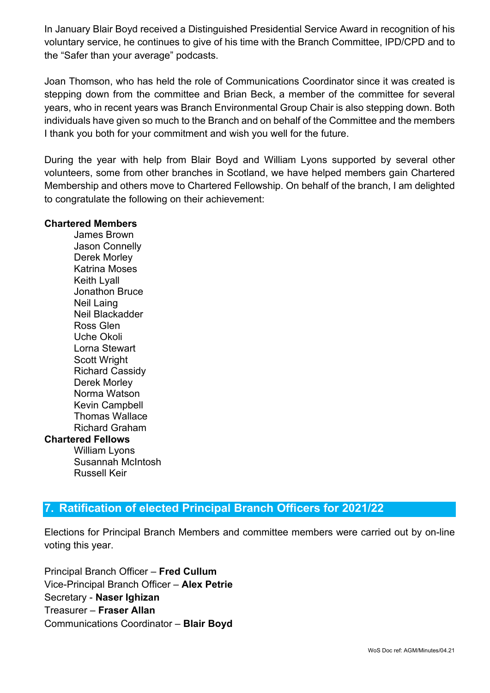In January Blair Boyd received a Distinguished Presidential Service Award in recognition of his voluntary service, he continues to give of his time with the Branch Committee, IPD/CPD and to the "Safer than your average" podcasts.

Joan Thomson, who has held the role of Communications Coordinator since it was created is stepping down from the committee and Brian Beck, a member of the committee for several years, who in recent years was Branch Environmental Group Chair is also stepping down. Both individuals have given so much to the Branch and on behalf of the Committee and the members I thank you both for your commitment and wish you well for the future.

During the year with help from Blair Boyd and William Lyons supported by several other volunteers, some from other branches in Scotland, we have helped members gain Chartered Membership and others move to Chartered Fellowship. On behalf of the branch, I am delighted to congratulate the following on their achievement:

#### **Chartered Members**

James Brown Jason Connelly Derek Morley Katrina Moses Keith Lyall Jonathon Bruce Neil Laing Neil Blackadder Ross Glen Uche Okoli Lorna Stewart Scott Wright Richard Cassidy Derek Morley Norma Watson Kevin Campbell Thomas Wallace Richard Graham **Chartered Fellows** William Lyons Susannah McIntosh

Russell Keir

## **7. Ratification of elected Principal Branch Officers for 2021/22**

Elections for Principal Branch Members and committee members were carried out by on-line voting this year.

Principal Branch Officer – **Fred Cullum** Vice-Principal Branch Officer – **Alex Petrie** Secretary - **Naser Ighizan** Treasurer – **Fraser Allan** Communications Coordinator – **Blair Boyd**